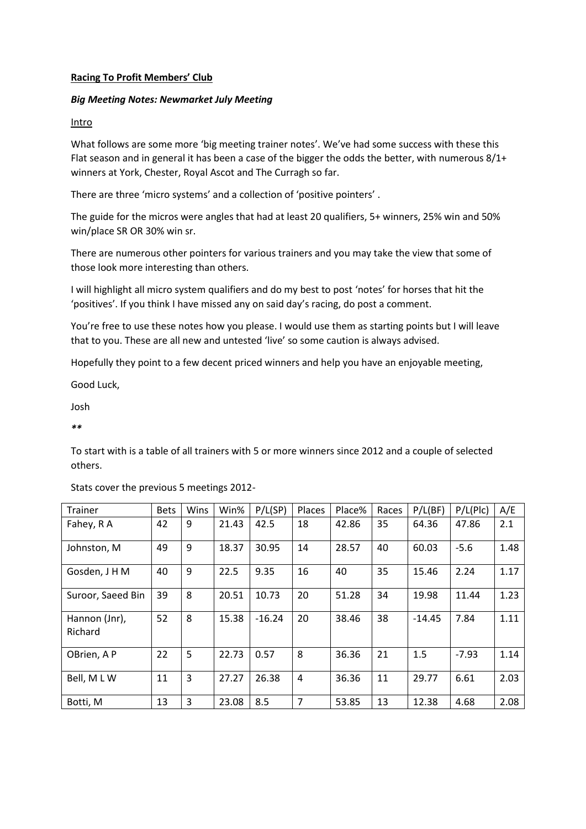## **Racing To Profit Members' Club**

## *Big Meeting Notes: Newmarket July Meeting*

### **Intro**

What follows are some more 'big meeting trainer notes'. We've had some success with these this Flat season and in general it has been a case of the bigger the odds the better, with numerous 8/1+ winners at York, Chester, Royal Ascot and The Curragh so far.

There are three 'micro systems' and a collection of 'positive pointers' .

The guide for the micros were angles that had at least 20 qualifiers, 5+ winners, 25% win and 50% win/place SR OR 30% win sr.

There are numerous other pointers for various trainers and you may take the view that some of those look more interesting than others.

I will highlight all micro system qualifiers and do my best to post 'notes' for horses that hit the 'positives'. If you think I have missed any on said day's racing, do post a comment.

You're free to use these notes how you please. I would use them as starting points but I will leave that to you. These are all new and untested 'live' so some caution is always advised.

Hopefully they point to a few decent priced winners and help you have an enjoyable meeting,

Good Luck,

Josh

*\*\**

To start with is a table of all trainers with 5 or more winners since 2012 and a couple of selected others.

Stats cover the previous 5 meetings 2012-

| Trainer                  | <b>Bets</b> | Wins | Win%  | P/L(SP)  | Places         | Place% | Races | P/L(BF)  | P/L(Plc) | A/E  |
|--------------------------|-------------|------|-------|----------|----------------|--------|-------|----------|----------|------|
| Fahey, R A               | 42          | 9    | 21.43 | 42.5     | 18             | 42.86  | 35    | 64.36    | 47.86    | 2.1  |
| Johnston, M              | 49          | 9    | 18.37 | 30.95    | 14             | 28.57  | 40    | 60.03    | $-5.6$   | 1.48 |
| Gosden, J H M            | 40          | 9    | 22.5  | 9.35     | 16             | 40     | 35    | 15.46    | 2.24     | 1.17 |
| Suroor, Saeed Bin        | 39          | 8    | 20.51 | 10.73    | 20             | 51.28  | 34    | 19.98    | 11.44    | 1.23 |
| Hannon (Jnr),<br>Richard | 52          | 8    | 15.38 | $-16.24$ | 20             | 38.46  | 38    | $-14.45$ | 7.84     | 1.11 |
| OBrien, A P              | 22          | 5    | 22.73 | 0.57     | 8              | 36.36  | 21    | 1.5      | $-7.93$  | 1.14 |
| Bell, MLW                | 11          | 3    | 27.27 | 26.38    | $\overline{4}$ | 36.36  | 11    | 29.77    | 6.61     | 2.03 |
| Botti, M                 | 13          | 3    | 23.08 | 8.5      | $\overline{7}$ | 53.85  | 13    | 12.38    | 4.68     | 2.08 |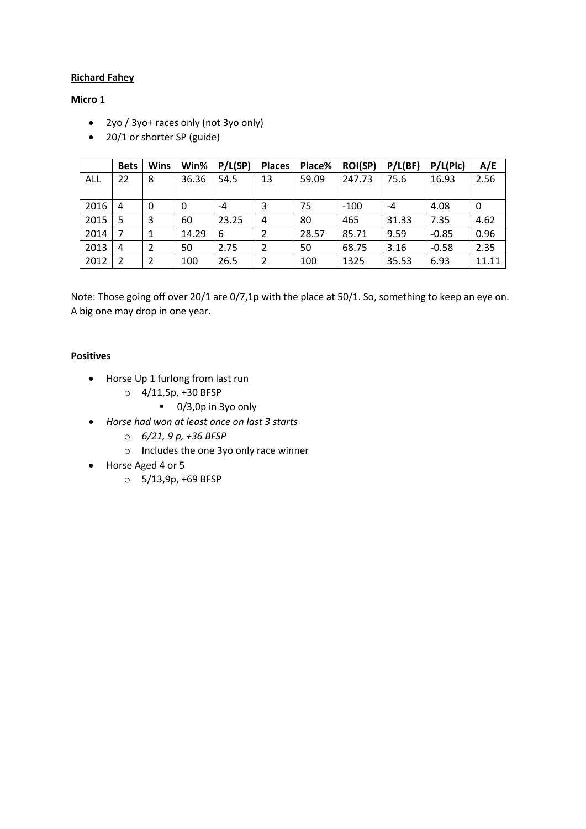## **Richard Fahey**

## **Micro 1**

- 2yo / 3yo+ races only (not 3yo only)
- 20/1 or shorter SP (guide)

|      | <b>Bets</b>   | <b>Wins</b> | Win%  | P/L(SP) | <b>Places</b> | Place% | <b>ROI(SP)</b> | P/L(BF) | P/L(Plc) | A/E   |
|------|---------------|-------------|-------|---------|---------------|--------|----------------|---------|----------|-------|
| ALL  | 22            | 8           | 36.36 | 54.5    | 13            | 59.09  | 247.73         | 75.6    | 16.93    | 2.56  |
|      |               |             |       |         |               |        |                |         |          |       |
| 2016 | 4             | 0           | 0     | -4      | 3             | 75     | $-100$         | -4      | 4.08     | 0     |
| 2015 | 5             | 3           | 60    | 23.25   | 4             | 80     | 465            | 31.33   | 7.35     | 4.62  |
| 2014 |               | 1           | 14.29 | 6       | 2             | 28.57  | 85.71          | 9.59    | $-0.85$  | 0.96  |
| 2013 | 4             | 2           | 50    | 2.75    | 2             | 50     | 68.75          | 3.16    | $-0.58$  | 2.35  |
| 2012 | $\mathfrak z$ | 2           | 100   | 26.5    | 2             | 100    | 1325           | 35.53   | 6.93     | 11.11 |

Note: Those going off over 20/1 are 0/7,1p with the place at 50/1. So, something to keep an eye on. A big one may drop in one year.

## **Positives**

- Horse Up 1 furlong from last run
	- $O$  4/11,5p, +30 BFSP
		- 0/3,0p in 3yo only
- *Horse had won at least once on last 3 starts* 
	- o *6/21, 9 p, +36 BFSP*
	- o Includes the one 3yo only race winner
- Horse Aged 4 or 5
	- o 5/13,9p, +69 BFSP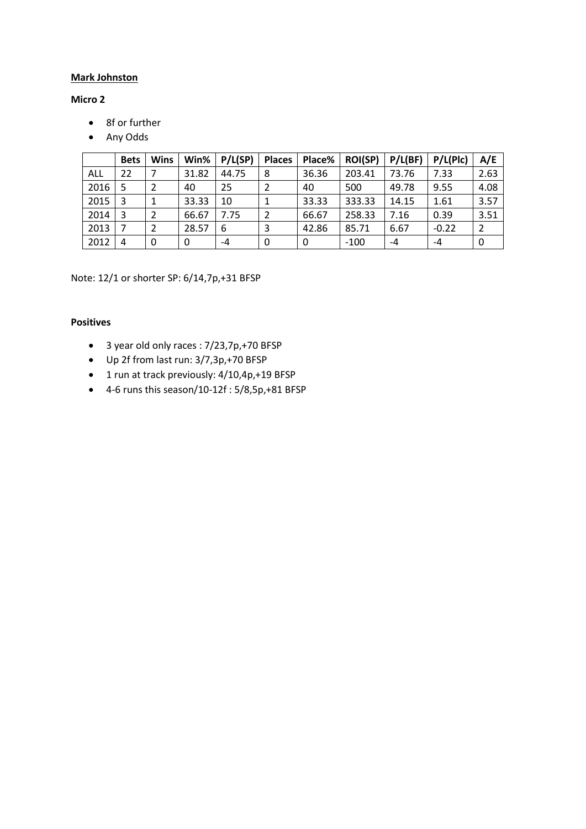# **Mark Johnston**

# **Micro 2**

- 8f or further
- Any Odds

|      | <b>Bets</b> | <b>Wins</b>   | Win%  | P/L(SP) | <b>Places</b> | Place% | <b>ROI(SP)</b> | P/L(BF) | P/L(Plc) | A/E  |
|------|-------------|---------------|-------|---------|---------------|--------|----------------|---------|----------|------|
| ALL  | 22          |               | 31.82 | 44.75   | 8             | 36.36  | 203.41         | 73.76   | 7.33     | 2.63 |
| 2016 | 5           | 2             | 40    | 25      |               | 40     | 500            | 49.78   | 9.55     | 4.08 |
| 2015 | 3           | 1             | 33.33 | 10      |               | 33.33  | 333.33         | 14.15   | 1.61     | 3.57 |
| 2014 | 3           | $\mathcal{P}$ | 66.67 | 7.75    | $\mathcal{P}$ | 66.67  | 258.33         | 7.16    | 0.39     | 3.51 |
| 2013 |             |               | 28.57 | 6       | 3             | 42.86  | 85.71          | 6.67    | $-0.22$  | 2    |
| 2012 | 4           | 0             | 0     | -4      | 0             | 0      | $-100$         | -4      | -4       | 0    |

Note: 12/1 or shorter SP: 6/14,7p,+31 BFSP

## **Positives**

- 3 year old only races : 7/23,7p,+70 BFSP
- Up 2f from last run: 3/7,3p,+70 BFSP
- 1 run at track previously: 4/10,4p,+19 BFSP
- 4-6 runs this season/10-12f : 5/8,5p,+81 BFSP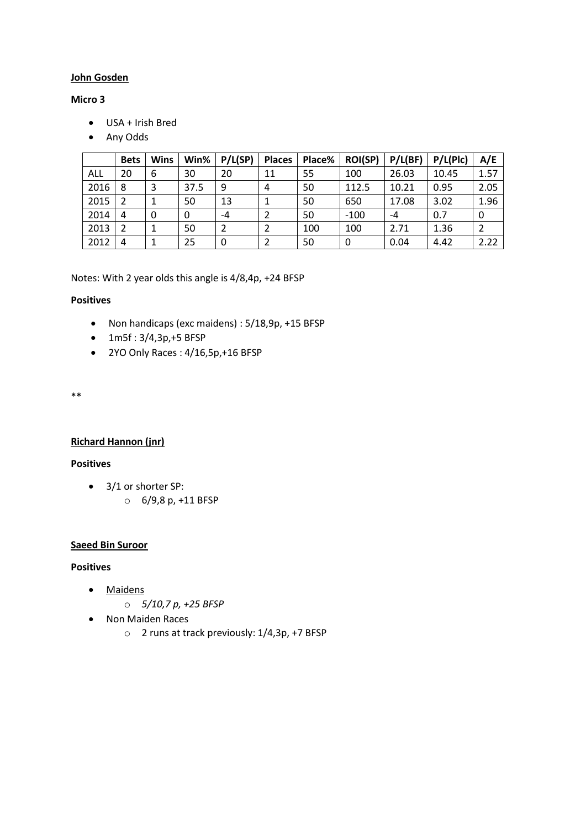### **John Gosden**

## **Micro 3**

- USA + Irish Bred
- Any Odds

|      | <b>Bets</b> | Wins | Win% | P/L(SP) | <b>Places</b> | Place% | <b>ROI(SP)</b> | P/L(BF) | P/L(Plc) | A/E  |
|------|-------------|------|------|---------|---------------|--------|----------------|---------|----------|------|
| ALL  | 20          | 6    | 30   | 20      | 11            | 55     | 100            | 26.03   | 10.45    | 1.57 |
| 2016 | 8           | 3    | 37.5 | 9       | 4             | 50     | 112.5          | 10.21   | 0.95     | 2.05 |
| 2015 |             | 1    | 50   | 13      |               | 50     | 650            | 17.08   | 3.02     | 1.96 |
| 2014 | 4           | 0    | 0    | -4      |               | 50     | $-100$         | -4      | 0.7      | 0    |
| 2013 | 2           |      | 50   |         |               | 100    | 100            | 2.71    | 1.36     |      |
| 2012 | 4           |      | 25   | 0       |               | 50     | 0              | 0.04    | 4.42     | 2.22 |

Notes: With 2 year olds this angle is 4/8,4p, +24 BFSP

# **Positives**

- Non handicaps (exc maidens) : 5/18,9p, +15 BFSP
- 1m5f : 3/4,3p,+5 BFSP
- 2YO Only Races : 4/16,5p,+16 BFSP

\*\*

#### **Richard Hannon (jnr)**

## **Positives**

- 3/1 or shorter SP:
	- o 6/9,8 p, +11 BFSP

## **Saeed Bin Suroor**

## **Positives**

- Maidens
	- o *5/10,7 p, +25 BFSP*
- Non Maiden Races
	- o 2 runs at track previously: 1/4,3p, +7 BFSP